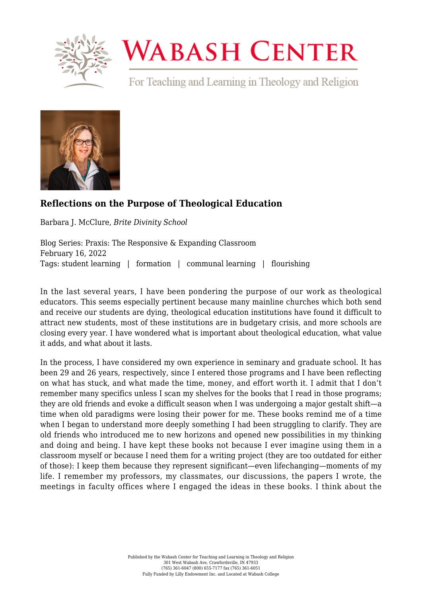

## **WABASH CENTER**

For Teaching and Learning in Theology and Religion



## **[Reflections on the Purpose of Theological Education](https://www.wabashcenter.wabash.edu/2022/02/reflections-on-the-purpose-of-theological-education/)**

Barbara J. McClure, *Brite Divinity School*

Blog Series: Praxis: The Responsive & Expanding Classroom February 16, 2022 Tags: student learning | formation | communal learning | flourishing

In the last several years, I have been pondering the purpose of our work as theological educators. This seems especially pertinent because many mainline churches which both send and receive our students are dying, theological education institutions have found it difficult to attract new students, most of these institutions are in budgetary crisis, and more schools are closing every year. I have wondered what is important about theological education, what value it adds, and what about it lasts.

In the process, I have considered my own experience in seminary and graduate school. It has been 29 and 26 years, respectively, since I entered those programs and I have been reflecting on what has stuck, and what made the time, money, and effort worth it. I admit that I don't remember many specifics unless I scan my shelves for the books that I read in those programs; they are old friends and evoke a difficult season when I was undergoing a major gestalt shift—a time when old paradigms were losing their power for me. These books remind me of a time when I began to understand more deeply something I had been struggling to clarify. They are old friends who introduced me to new horizons and opened new possibilities in my thinking and doing and being. I have kept these books not because I ever imagine using them in a classroom myself or because I need them for a writing project (they are too outdated for either of those): I keep them because they represent significant—even lifechanging—moments of my life. I remember my professors, my classmates, our discussions, the papers I wrote, the meetings in faculty offices where I engaged the ideas in these books. I think about the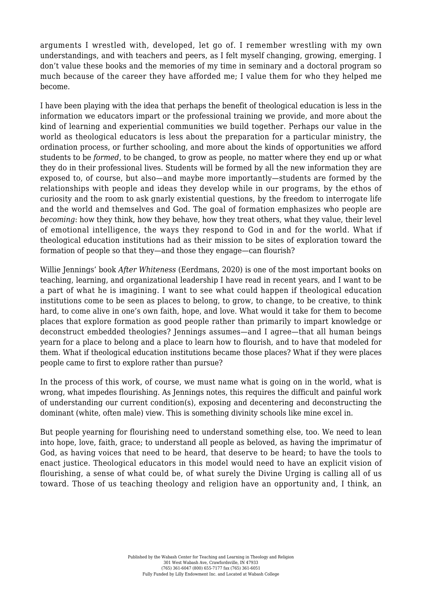arguments I wrestled with, developed, let go of. I remember wrestling with my own understandings, and with teachers and peers, as I felt myself changing, growing, emerging. I don't value these books and the memories of my time in seminary and a doctoral program so much because of the career they have afforded me; I value them for who they helped me become.

I have been playing with the idea that perhaps the benefit of theological education is less in the information we educators impart or the professional training we provide, and more about the kind of learning and experiential communities we build together. Perhaps our value in the world as theological educators is less about the preparation for a particular ministry, the ordination process, or further schooling, and more about the kinds of opportunities we afford students to be *formed,* to be changed, to grow as people, no matter where they end up or what they do in their professional lives. Students will be formed by all the new information they are exposed to, of course, but also—and maybe more importantly—students are formed by the relationships with people and ideas they develop while in our programs, by the ethos of curiosity and the room to ask gnarly existential questions, by the freedom to interrogate life and the world and themselves and God. The goal of formation emphasizes who people are *becoming*: how they think, how they behave, how they treat others, what they value, their level of emotional intelligence, the ways they respond to God in and for the world. What if theological education institutions had as their mission to be sites of exploration toward the formation of people so that they—and those they engage—can flourish?

Willie Jennings' book *After Whiteness* (Eerdmans, 2020) is one of the most important books on teaching, learning, and organizational leadership I have read in recent years, and I want to be a part of what he is imagining. I want to see what could happen if theological education institutions come to be seen as places to belong, to grow, to change, to be creative, to think hard, to come alive in one's own faith, hope, and love. What would it take for them to become places that explore formation as good people rather than primarily to impart knowledge or deconstruct embedded theologies? Jennings assumes—and I agree—that all human beings yearn for a place to belong and a place to learn how to flourish, and to have that modeled for them. What if theological education institutions became those places? What if they were places people came to first to explore rather than pursue?

In the process of this work, of course, we must name what is going on in the world, what is wrong, what impedes flourishing. As Jennings notes, this requires the difficult and painful work of understanding our current condition(s), exposing and decentering and deconstructing the dominant (white, often male) view. This is something divinity schools like mine excel in.

But people yearning for flourishing need to understand something else, too. We need to lean into hope, love, faith, grace; to understand all people as beloved, as having the imprimatur of God, as having voices that need to be heard, that deserve to be heard; to have the tools to enact justice. Theological educators in this model would need to have an explicit vision of flourishing, a sense of what could be, of what surely the Divine Urging is calling all of us toward. Those of us teaching theology and religion have an opportunity and, I think, an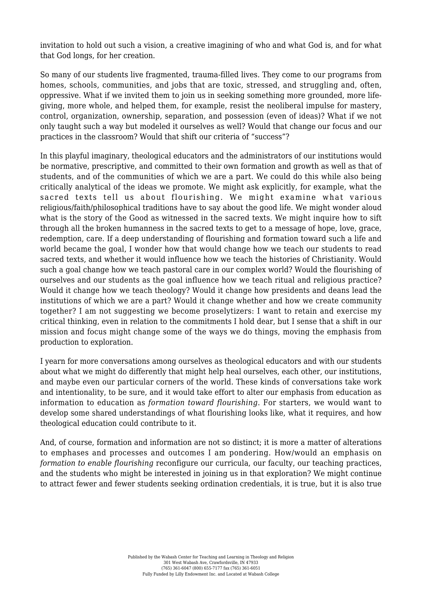invitation to hold out such a vision, a creative imagining of who and what God is, and for what that God longs, for her creation.

So many of our students live fragmented, trauma-filled lives. They come to our programs from homes, schools, communities, and jobs that are toxic, stressed, and struggling and, often, oppressive. What if we invited them to join us in seeking something more grounded, more lifegiving, more whole, and helped them, for example, resist the neoliberal impulse for mastery, control, organization, ownership, separation, and possession (even of ideas)? What if we not only taught such a way but modeled it ourselves as well? Would that change our focus and our practices in the classroom? Would that shift our criteria of "success"?

In this playful imaginary, theological educators and the administrators of our institutions would be normative, prescriptive, and committed to their own formation and growth as well as that of students, and of the communities of which we are a part. We could do this while also being critically analytical of the ideas we promote. We might ask explicitly, for example, what the sacred texts tell us about flourishing. We might examine what various religious/faith/philosophical traditions have to say about the good life. We might wonder aloud what is the story of the Good as witnessed in the sacred texts. We might inquire how to sift through all the broken humanness in the sacred texts to get to a message of hope, love, grace, redemption, care. If a deep understanding of flourishing and formation toward such a life and world became the goal, I wonder how that would change how we teach our students to read sacred texts, and whether it would influence how we teach the histories of Christianity. Would such a goal change how we teach pastoral care in our complex world? Would the flourishing of ourselves and our students as the goal influence how we teach ritual and religious practice? Would it change how we teach theology? Would it change how presidents and deans lead the institutions of which we are a part? Would it change whether and how we create community together? I am not suggesting we become proselytizers: I want to retain and exercise my critical thinking, even in relation to the commitments I hold dear, but I sense that a shift in our mission and focus might change some of the ways we do things, moving the emphasis from production to exploration.

I yearn for more conversations among ourselves as theological educators and with our students about what we might do differently that might help heal ourselves, each other, our institutions, and maybe even our particular corners of the world. These kinds of conversations take work and intentionality, to be sure, and it would take effort to alter our emphasis from education as information to education as *formation toward flourishing*. For starters, we would want to develop some shared understandings of what flourishing looks like, what it requires, and how theological education could contribute to it.

And, of course, formation and information are not so distinct; it is more a matter of alterations to emphases and processes and outcomes I am pondering. How/would an emphasis on *formation to enable flourishing* reconfigure our curricula, our faculty, our teaching practices, and the students who might be interested in joining us in that exploration? We might continue to attract fewer and fewer students seeking ordination credentials, it is true, but it is also true